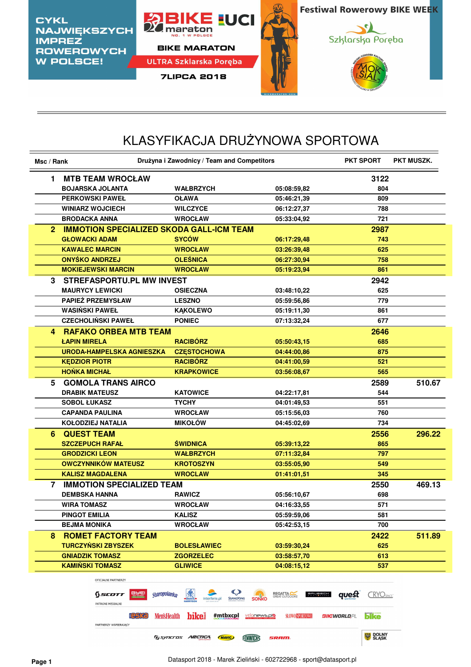

## KLASYFIKACJA DRUŻYNOWA SPORTOWA

| Msc / Rank              |                                                 | Drużyna i Zawodnicy / Team and Competitors |             |      | <b>PKT MUSZK.</b> |  |
|-------------------------|-------------------------------------------------|--------------------------------------------|-------------|------|-------------------|--|
| 1                       | <b>MTB TEAM WROCŁAW</b>                         |                                            |             | 3122 |                   |  |
|                         | <b>BOJARSKA JOLANTA</b>                         | <b>WAŁBRZYCH</b>                           | 05:08:59,82 | 804  |                   |  |
|                         | <b>PERKOWSKI PAWEŁ</b>                          | <b>OŁAWA</b>                               | 05:46:21,39 | 809  |                   |  |
|                         | <b>WINIARZ WOJCIECH</b>                         | <b>WILCZYCE</b>                            | 06:12:27,37 | 788  |                   |  |
| <b>BRODACKA ANNA</b>    |                                                 | <b>WROCŁAW</b>                             | 05:33:04,92 | 721  |                   |  |
| 2                       | <b>IMMOTION SPECIALIZED SKODA GALL-ICM TEAM</b> |                                            |             | 2987 |                   |  |
| <b>GŁOWACKI ADAM</b>    |                                                 | <b>SYCÓW</b>                               | 06:17:29,48 | 743  |                   |  |
|                         | <b>KAWALEC MARCIN</b>                           | <b>WROCŁAW</b>                             | 03:26:39,48 | 625  |                   |  |
|                         | <b>ONYŚKO ANDRZEJ</b>                           | <b>OLEŚNICA</b>                            | 06:27:30,94 | 758  |                   |  |
|                         | <b>MOKIEJEWSKI MARCIN</b>                       | <b>WROCŁAW</b>                             | 05:19:23,94 | 861  |                   |  |
| 3.                      | STREFASPORTU.PL MW INVEST                       |                                            |             | 2942 |                   |  |
|                         | <b>MAURYCY LEWICKI</b>                          | <b>OSIECZNA</b>                            | 03:48:10,22 | 625  |                   |  |
|                         | <b>PAPIEŻ PRZEMYSŁAW</b>                        | <b>LESZNO</b>                              | 05:59:56,86 | 779  |                   |  |
| <b>WASIŃSKI PAWEŁ</b>   |                                                 | <b>KAKOLEWO</b>                            | 05:19:11,30 | 861  |                   |  |
|                         | <b>CZECHOLIŃSKI PAWEŁ</b>                       | <b>PONIEC</b>                              | 07:13:32,24 | 677  |                   |  |
| 4                       | <b>RAFAKO ORBEA MTB TEAM</b>                    |                                            |             | 2646 |                   |  |
| <b>ŁAPIN MIRELA</b>     |                                                 | <b>RACIBÓRZ</b>                            | 05:50:43.15 | 685  |                   |  |
|                         | <b>URODA-HAMPELSKA AGNIESZKA</b>                | <b>CZESTOCHOWA</b>                         | 04:44:00,86 | 875  |                   |  |
| <b>KEDZIOR PIOTR</b>    |                                                 | <b>RACIBÓRZ</b>                            | 04:41:00,59 | 521  |                   |  |
| <b>HOŃKA MICHAŁ</b>     |                                                 | <b>KRAPKOWICE</b>                          | 03:56:08,67 | 565  |                   |  |
| 5                       | <b>GOMOLA TRANS AIRCO</b>                       |                                            |             | 2589 | 510.67            |  |
| <b>DRABIK MATEUSZ</b>   |                                                 | <b>KATOWICE</b>                            | 04:22:17,81 | 544  |                   |  |
| <b>SOBOL ŁUKASZ</b>     |                                                 | <b>TYCHY</b>                               | 04:01:49,53 | 551  |                   |  |
|                         | <b>CAPANDA PAULINA</b>                          | <b>WROCŁAW</b>                             | 05:15:56,03 | 760  |                   |  |
|                         | <b>KOŁODZIEJ NATALIA</b>                        | <b>MIKOŁÓW</b>                             | 04:45:02,69 | 734  |                   |  |
| <b>QUEST TEAM</b><br>6. |                                                 |                                            |             | 2556 | 296.22            |  |
|                         | <b>SZCZEPUCH RAFAŁ</b>                          | <b>ŚWIDNICA</b>                            | 05:39:13,22 | 865  |                   |  |
| <b>GRODZICKI LEON</b>   |                                                 | <b>WAŁBRZYCH</b>                           | 07:11:32,84 | 797  |                   |  |
|                         | <b>OWCZYNNIKÓW MATEUSZ</b>                      | <b>KROTOSZYN</b>                           | 03:55:05,90 | 549  |                   |  |
|                         | <b>KALISZ MAGDALENA</b>                         | <b>WROCLAW</b>                             | 01:41:01,51 | 345  |                   |  |
| 7                       | <b>IMMOTION SPECIALIZED TEAM</b>                |                                            |             | 2550 | 469.13            |  |
| <b>DEMBSKA HANNA</b>    |                                                 | <b>RAWICZ</b>                              | 05:56:10,67 | 698  |                   |  |
| <b>WIRA TOMASZ</b>      |                                                 | <b>WROCŁAW</b>                             | 04:16:33,55 | 571  |                   |  |
| <b>PINGOT EMILIA</b>    |                                                 | <b>KALISZ</b>                              | 05:59:59,06 | 581  |                   |  |
| <b>BEJMA MONIKA</b>     |                                                 | <b>WROCŁAW</b>                             | 05:42:53,15 | 700  |                   |  |
| 8.                      | <b>ROMET FACTORY TEAM</b>                       |                                            |             | 2422 | 511.89            |  |
|                         | <b>TURCZYŃSKI ZBYSZEK</b>                       | <b>BOLESŁAWIEC</b>                         | 03:59:30,24 | 625  |                   |  |
|                         | <b>GNIADZIK TOMASZ</b>                          | <b>ZGORZELEC</b>                           | 03:58:57,70 | 613  |                   |  |
|                         | <b>KAMIŃSKI TOMASZ</b>                          | <b>GLIWICE</b>                             | 04:08:15,12 | 537  |                   |  |
|                         |                                                 |                                            |             |      |                   |  |

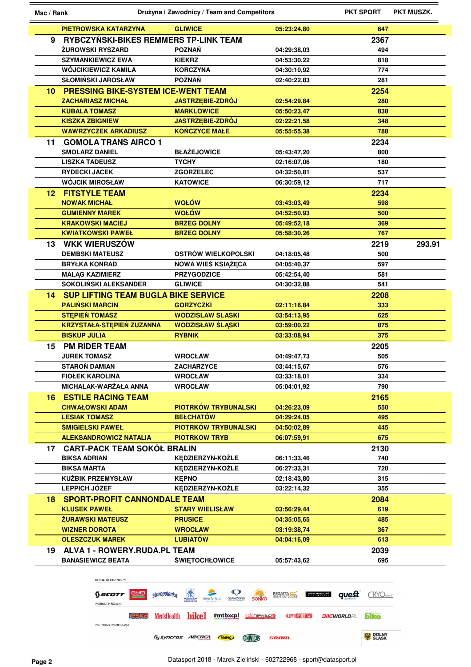| Msc / Rank |                                            | Drużyna i Zawodnicy / Team and Competitors                        |                                  | <b>PKT SPORT</b>          | PKT MUSZK. |
|------------|--------------------------------------------|-------------------------------------------------------------------|----------------------------------|---------------------------|------------|
|            | <b>PIETROWSKA KATARZYNA</b>                | <b>GLIWICE</b>                                                    | 05:23:24,80                      | 647                       |            |
| 9          | RYBCZYŃSKI-BIKES REMMERS TP-LINK TEAM      |                                                                   |                                  | 2367                      |            |
|            | <b>ŻUROWSKI RYSZARD</b>                    | <b>POZNAŃ</b>                                                     | 04:29:38,03                      | 494                       |            |
|            | <b>SZYMANKIEWICZ EWA</b>                   | <b>KIEKRZ</b>                                                     | 04:53:30,22                      | 818                       |            |
|            | WÓJCIKIEWICZ KAMILA                        | <b>KORCZYNA</b>                                                   | 04:30:10,92                      | 774                       |            |
|            | <b>SŁOMIŃSKI JAROSŁAW</b>                  | <b>POZNAŃ</b>                                                     | 02:40:22,83                      | 281                       |            |
| 10         | <b>PRESSING BIKE-SYSTEM ICE-WENT TEAM</b>  |                                                                   |                                  | 2254                      |            |
|            | <b>ZACHARIASZ MICHAŁ</b>                   | <b>JASTRZEBIE-ZDRÓJ</b>                                           | 02:54:29,84                      | 280                       |            |
|            | <b>KUBALA TOMASZ</b>                       | <b>MARKLOWICE</b>                                                 | 05:50:23,47                      | 838                       |            |
|            | <b>KISZKA ZBIGNIEW</b>                     | <b>JASTRZEBIE-ZDRÓJ</b>                                           | 02:22:21,58                      | 348                       |            |
|            | <b>WAWRZYCZEK ARKADIUSZ</b>                | <b>KOŃCZYCE MAŁE</b>                                              | 05:55:55,38                      | 788                       |            |
| 11         | <b>GOMOLA TRANS AIRCO 1</b>                |                                                                   |                                  | 2234                      |            |
|            | <b>SMOLARZ DANIEL</b>                      | <b>BŁAŻEJOWICE</b>                                                | 05:43:47,20                      | 800                       |            |
|            | <b>LISZKA TADEUSZ</b>                      | <b>TYCHY</b>                                                      | 02:16:07,06                      | 180                       |            |
|            | <b>RYDECKI JACEK</b>                       | <b>ZGORZELEC</b>                                                  | 04:32:50,81                      | 537                       |            |
|            | <b>WÓJCIK MIROSŁAW</b>                     | <b>KATOWICE</b>                                                   | 06:30:59,12                      | 717                       |            |
| 12.        | <b>FITSTYLE TEAM</b>                       |                                                                   |                                  | 2234                      |            |
|            | <b>NOWAK MICHAŁ</b>                        | <b>WOŁÓW</b>                                                      | 03:43:03,49                      | 598                       |            |
|            | <b>GUMIENNY MAREK</b>                      | <b>WOŁÓW</b>                                                      | 04:52:50.93                      | 500                       |            |
|            | <b>KRAKOWSKI MACIEJ</b>                    | <b>BRZEG DOLNY</b>                                                | 05:49:52,18                      | 369                       |            |
|            | <b>KWIATKOWSKI PAWEŁ</b>                   | <b>BRZEG DOLNY</b>                                                | 05:58:30,26                      | 767                       |            |
| 13.        | <b>WKK WIERUSZÓW</b>                       |                                                                   |                                  | 2219                      | 293.91     |
|            | <b>DEMBSKI MATEUSZ</b>                     | OSTRÓW WIELKOPOLSKI                                               | 04:18:05,48                      | 500                       |            |
|            | <b>BRYŁKA KONRAD</b>                       | NOWA WIEŚ KSIĄŻĘCA                                                | 04:05:40,37                      | 597                       |            |
|            | <b>MALAG KAZIMIERZ</b>                     | <b>PRZYGODZICE</b>                                                | 05:42:54,40                      | 581                       |            |
|            | SOKOLIŃSKI ALEKSANDER                      | <b>GLIWICE</b>                                                    | 04:30:32,88                      | 541                       |            |
| 14.        | <b>SUP LIFTING TEAM BUGLA BIKE SERVICE</b> |                                                                   |                                  | 2208                      |            |
|            | <b>PALIŃSKI MARCIN</b>                     | <b>GORZYCZKI</b>                                                  | 02:11:16,84                      | 333                       |            |
|            | <b>STEPIEŃ TOMASZ</b>                      | <b>WODZISLAW SLASKI</b>                                           | 03:54:13,95                      | 625                       |            |
|            | <b>KRZYSTAŁA-STĘPIEŃ ZUZANNA</b>           | <b>WODZISŁAW ŚLĄSKI</b>                                           | 03:59:00,22                      | 875                       |            |
|            | <b>BISKUP JULIA</b>                        | <b>RYBNIK</b>                                                     | 03:33:08,94                      | 375                       |            |
| 15         | <b>PM RIDER TEAM</b>                       |                                                                   |                                  | 2205                      |            |
|            | <b>JUREK TOMASZ</b>                        | <b>WROCŁAW</b>                                                    | 04:49:47,73                      | 505                       |            |
|            | <b>STAROŃ DAMIAN</b>                       | ZACHARZYCE                                                        | 03:44:15.67                      | 576                       |            |
|            | <b>FIOLEK KAROLINA</b>                     | <b>WROCŁAW</b>                                                    | 03:33:18,01                      | 334                       |            |
|            | MICHALAK-WARŻAŁA ANNA                      | <b>WROCŁAW</b>                                                    | 05:04:01,92                      | 790                       |            |
| 16.        | <b>ESTILE RACING TEAM</b>                  |                                                                   |                                  | 2165                      |            |
|            | <b>CHWAŁOWSKI ADAM</b>                     | PIOTRKÓW TRYBUNALSKI                                              | 04:26:23,09                      | 550                       |            |
|            | <b>LESIAK TOMASZ</b>                       | <b>BEŁCHATÓW</b>                                                  | 04:29:24,05                      | 495                       |            |
|            | <b>ŚMIGIELSKI PAWEŁ</b>                    | <b>PIOTRKÓW TRYBUNALSKI</b>                                       | 04:50:02,89                      | 445                       |            |
|            | <b>ALEKSANDROWICZ NATALIA</b>              | <b>PIOTRKOW TRYB</b>                                              | 06:07:59,91                      | 675                       |            |
| 17         | <b>CART-PACK TEAM SOKÓŁ BRALIN</b>         |                                                                   |                                  | 2130                      |            |
|            | <b>BIKSA ADRIAN</b>                        | KĘDZIERZYN-KOŹLE                                                  | 06:11:33,46                      | 740                       |            |
|            | <b>BIKSA MARTA</b>                         | KEDZIERZYN-KOŹLE                                                  | 06:27:33,31                      | 720                       |            |
|            | <b>KUŹBIK PRZEMYSŁAW</b>                   | <b>KEPNO</b>                                                      | 02:18:43,80                      | 315                       |            |
|            | <b>LEPPICH JÓZEF</b>                       | KĘDZIERZYN-KOŹLE                                                  | 03:22:14,32                      | 355                       |            |
| 18.        | <b>SPORT-PROFIT CANNONDALE TEAM</b>        |                                                                   |                                  | 2084                      |            |
|            | <b>KLUSEK PAWEŁ</b>                        | <b>STARY WIELISŁAW</b>                                            | 03:56:29,44                      | 619                       |            |
|            | <b>ŻURAWSKI MATEUSZ</b>                    | <b>PRUSICE</b>                                                    | 04:35:05,65                      | 485                       |            |
|            | <b>WIZNER DOROTA</b>                       | <b>WROCŁAW</b>                                                    | 03:19:38,74                      | 367                       |            |
|            | <b>OLESZCZUK MAREK</b>                     | <b>LUBIATÓW</b>                                                   | 04:04:16,09                      | 613                       |            |
| 19         | <b>ALVA 1 - ROWERY.RUDA.PL TEAM</b>        |                                                                   |                                  | 2039                      |            |
|            | <b>BANASIEWICZ BEATA</b>                   | <b>ŚWIĘTOCHŁOWICE</b>                                             | 05:57:43,62                      | 695                       |            |
|            |                                            |                                                                   |                                  |                           |            |
|            | OFICJALNI PARTNERZY                        |                                                                   |                                  |                           |            |
|            | Sscorr<br>staropolanka                     | $\mathbb{C}$<br><b>SSANGYONG</b><br><b>SONKO</b><br>interferie.pl | <b>REGATTA</b><br><b>PRYPECH</b> | quest<br><b>CRYOSPACE</b> |            |

**PATRONI MEDIALNI 19913** MensHealth **bike** #mtbxcpl velonews.pl**o** \$100000000000000 BIKe bike PARTNERZY WSPIERAJĄCY **SE DOLNY FISYNCTOS ARCTICAL (MAVIC)** ENWILLY SRAIN.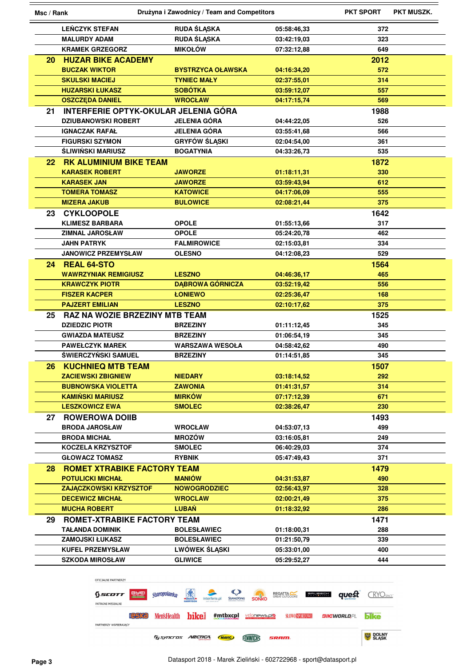| Msc / Rank      |                                             | Drużyna i Zawodnicy / Team and Competitors |             |             | <b>PKT MUSZK.</b> |
|-----------------|---------------------------------------------|--------------------------------------------|-------------|-------------|-------------------|
|                 | <b>LEŃCZYK STEFAN</b>                       | <b>RUDA ŚLĄSKA</b>                         | 05:58:46,33 | 372         |                   |
|                 | <b>MALURDY ADAM</b>                         | <b>RUDA ŚLĄSKA</b>                         | 03:42:19,03 | 323         |                   |
|                 | <b>KRAMEK GRZEGORZ</b>                      | <b>MIKOŁÓW</b>                             | 07:32:12,88 | 649         |                   |
| 20 -            | <b>HUZAR BIKE ACADEMY</b>                   |                                            |             | 2012        |                   |
|                 | <b>BUCZAK WIKTOR</b>                        | <b>BYSTRZYCA OŁAWSKA</b>                   | 04:16:34,20 | 572         |                   |
|                 | <b>SKULSKI MACIEJ</b>                       | <b>TYNIEC MAŁY</b>                         | 02:37:55,01 | 314         |                   |
|                 | <b>HUZARSKI ŁUKASZ</b>                      | <b>SOBÓTKA</b>                             | 03:59:12.07 | 557         |                   |
|                 | <b>OSZCZĘDA DANIEL</b>                      | <b>WROCŁAW</b>                             | 04:17:15.74 | 569         |                   |
| 21              | <b>INTERFERIE OPTYK-OKULAR JELENIA GÓRA</b> |                                            |             | 1988        |                   |
|                 | <b>DZIUBANOWSKI ROBERT</b>                  | <b>JELENIA GÓRA</b>                        | 04:44:22.05 | 526         |                   |
|                 | <b>IGNACZAK RAFAŁ</b>                       | <b>JELENIA GÓRA</b>                        | 03:55:41,68 | 566         |                   |
|                 | <b>FIGURSKI SZYMON</b>                      | <b>GRYFÓW ŚLĄSKI</b>                       | 02:04:54,00 | 361         |                   |
|                 | <b>ŚLIWIŃSKI MARIUSZ</b>                    | <b>BOGATYNIA</b>                           | 04:33:26,73 | 535         |                   |
| 22.             | <b>RK ALUMINIUM BIKE TEAM</b>               |                                            |             | 1872        |                   |
|                 | <b>KARASEK ROBERT</b>                       | <b>JAWORZE</b>                             | 01:18:11,31 | 330         |                   |
|                 | <b>KARASEK JAN</b>                          | <b>JAWORZE</b>                             | 03:59:43,94 | 612         |                   |
|                 | <b>TOMERA TOMASZ</b>                        | <b>KATOWICE</b>                            | 04:17:06,09 | 555         |                   |
|                 | <b>MIZERA JAKUB</b>                         | <b>BULOWICE</b>                            | 02:08:21,44 | 375         |                   |
| 23 <sub>2</sub> | <b>CYKLOOPOLE</b>                           |                                            |             | 1642        |                   |
|                 | <b>KLIMESZ BARBARA</b>                      | <b>OPOLE</b>                               | 01:55:13,66 | 317         |                   |
|                 | <b>ZIMNAL JAROSŁAW</b>                      | <b>OPOLE</b>                               | 05:24:20.78 | 462         |                   |
|                 | <b>JAHN PATRYK</b>                          | <b>FALMIROWICE</b>                         | 02:15:03,81 | 334         |                   |
|                 | <b>JANOWICZ PRZEMYSŁAW</b>                  | <b>OLESNO</b>                              | 04:12:08,23 | 529         |                   |
| 24              | <b>REAL 64-STO</b>                          |                                            |             | 1564        |                   |
|                 | <b>WAWRZYNIAK REMIGIUSZ</b>                 | <b>LESZNO</b>                              | 04:46:36,17 | 465         |                   |
|                 | <b>KRAWCZYK PIOTR</b>                       | <b>DĄBROWA GÓRNICZA</b>                    | 03:52:19,42 | 556         |                   |
|                 | <b>FISZER KACPER</b>                        | <b>ŁONIEWO</b>                             | 02:25:36,47 | 168         |                   |
|                 | <b>PAJZERT EMILIAN</b>                      | <b>LESZNO</b>                              | 02:10:17,62 | 375         |                   |
|                 | <b>RAZ NA WOZIE BRZEZINY MTB TEAM</b>       |                                            |             |             |                   |
| 25              | <b>DZIEDZIC PIOTR</b>                       | <b>BRZEZINY</b>                            |             | 1525<br>345 |                   |
|                 | <b>GWIAZDA MATEUSZ</b>                      | <b>BRZEZINY</b>                            | 01:11:12,45 | 345         |                   |
|                 | <b>PAWEŁCZYK MAREK</b>                      | <b>WARSZAWA WESOŁA</b>                     | 01:06:54,19 | 490         |                   |
|                 | ŚWIERCZYŃSKI SAMUEL                         |                                            | 04:58:42,62 |             |                   |
|                 |                                             | <b>BRZEZINY</b>                            | 01:14:51,85 | 345         |                   |
| 26.             | <b>KUCHNIEQ MTB TEAM</b>                    |                                            |             | 1507        |                   |
|                 | <b>ZACIEWSKI ZBIGNIEW</b>                   | <b>NIEDARY</b>                             | 03:18:14,52 | 292         |                   |
|                 | <b>BUBNOWSKA VIOLETTA</b>                   | <b>ZAWONIA</b>                             | 01:41:31,57 | 314         |                   |
|                 | <b>KAMINSKI MARIUSZ</b>                     | <b>MIRKÓW</b>                              | 07:17:12,39 | 671         |                   |
|                 | <b>LESZKOWICZ EWA</b>                       | <b>SMOLEC</b>                              | 02:38:26,47 | 230         |                   |
| 27              | <b>ROWEROWA DOIIB</b>                       |                                            |             | 1493        |                   |
|                 | <b>BRODA JAROSŁAW</b>                       | <b>WROCŁAW</b>                             | 04:53:07,13 | 499         |                   |
|                 | <b>BRODA MICHAŁ</b>                         | <b>MROZÓW</b>                              | 03:16:05.81 | 249         |                   |
|                 | <b>KOCZELA KRZYSZTOF</b>                    | <b>SMOLEC</b>                              | 06:40:29,03 | 374         |                   |
|                 | <b>GŁOWACZ TOMASZ</b>                       | <b>RYBNIK</b>                              | 05:47:49,43 | 371         |                   |
| 28.             | <b>ROMET XTRABIKE FACTORY TEAM</b>          |                                            |             | 1479        |                   |
|                 | <b>POTULICKI MICHAŁ</b>                     | <b>MANIÓW</b>                              | 04:31:53,87 | 490         |                   |
|                 | <b>ZAJĄCZKOWSKI KRZYSZTOF</b>               | <b>NOWOGRODZIEC</b>                        | 02:56:43,97 | 328         |                   |
|                 | <b>DECEWICZ MICHAŁ</b>                      | <b>WROCLAW</b>                             | 02:00:21,49 | 375         |                   |
|                 | <b>MUCHA ROBERT</b>                         | <b>LUBAŃ</b>                               | 01:18:32,92 | 286         |                   |
| 29              | ROMET-XTRABIKE FACTORY TEAM                 |                                            |             | 1471        |                   |
|                 | <b>TAŁANDA DOMINIK</b>                      | <b>BOLESŁAWIEC</b>                         | 01:18:00,31 | 288         |                   |
|                 | <b>ZAMOJSKI ŁUKASZ</b>                      | <b>BOLESŁAWIEC</b>                         | 01:21:50,79 | 339         |                   |
|                 |                                             |                                            |             |             |                   |
|                 | <b>KUFEL PRZEMYSŁAW</b>                     | <b>LWÓWEK ŚLĄSKI</b>                       | 05:33:01,00 | 400         |                   |



٠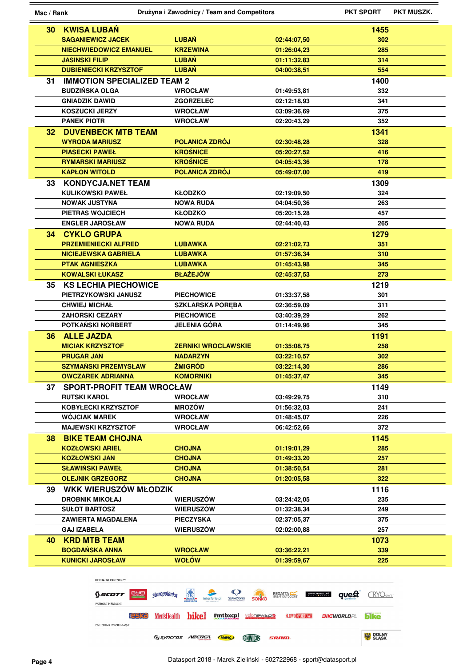| Msc / Rank      |                                    | Drużyna i Zawodnicy / Team and Competitors                                                                   |                | <b>PKT SPORT</b><br><b>PKT MUSZK.</b> |
|-----------------|------------------------------------|--------------------------------------------------------------------------------------------------------------|----------------|---------------------------------------|
| 30 <sub>2</sub> | <b>KWISA LUBAN</b>                 |                                                                                                              |                | 1455                                  |
|                 | <b>SAGANIEWICZ JACEK</b>           | <b>LUBAŃ</b>                                                                                                 | 02:44:07,50    | 302                                   |
|                 | <b>NIECHWIEDOWICZ EMANUEL</b>      | <b>KRZEWINA</b>                                                                                              | 01:26:04,23    | 285                                   |
|                 | <b>JASINSKI FILIP</b>              | <b>LUBAŃ</b>                                                                                                 | 01:11:32,83    | 314                                   |
|                 | <b>DUBIENIECKI KRZYSZTOF</b>       | <b>LUBAN</b>                                                                                                 |                | 554                                   |
|                 |                                    |                                                                                                              | 04:00:38,51    |                                       |
| 31              | <b>IMMOTION SPECIALIZED TEAM 2</b> |                                                                                                              |                | 1400                                  |
|                 | <b>BUDZIŃSKA OLGA</b>              | <b>WROCŁAW</b>                                                                                               | 01:49:53,81    | 332                                   |
|                 | <b>GNIADZIK DAWID</b>              | <b>ZGORZELEC</b>                                                                                             | 02:12:18,93    | 341                                   |
|                 | <b>KOSZUCKI JERZY</b>              | <b>WROCŁAW</b>                                                                                               | 03:09:36,69    | 375                                   |
|                 | <b>PANEK PIOTR</b>                 | <b>WROCŁAW</b>                                                                                               | 02:20:43.29    | 352                                   |
| 32.             | <b>DUVENBECK MTB TEAM</b>          |                                                                                                              |                | 1341                                  |
|                 | <b>WYRODA MARIUSZ</b>              | POLANICA ZDRÓJ                                                                                               | 02:30:48,28    | 328                                   |
|                 | <b>PIASECKI PAWEŁ</b>              | <b>KROŚNICE</b>                                                                                              | 05:20:27,52    | 416                                   |
|                 | <b>RYMARSKI MARIUSZ</b>            | <b>KROŚNICE</b>                                                                                              | 04:05:43,36    | 178                                   |
|                 | <b>KAPŁON WITOLD</b>               | <b>POLANICA ZDRÓJ</b>                                                                                        | 05:49:07,00    | 419                                   |
| 33              | <b>KONDYCJA.NET TEAM</b>           |                                                                                                              |                | 1309                                  |
|                 | <b>KULIKOWSKI PAWEŁ</b>            | <b>KŁODZKO</b>                                                                                               | 02:19:09,50    | 324                                   |
|                 | <b>NOWAK JUSTYNA</b>               | <b>NOWA RUDA</b>                                                                                             | 04:04:50.36    | 263                                   |
|                 | PIETRAS WOJCIECH                   | <b>KŁODZKO</b>                                                                                               | 05:20:15,28    | 457                                   |
|                 | <b>ENGLER JAROSŁAW</b>             | <b>NOWA RUDA</b>                                                                                             | 02:44:40,43    | 265                                   |
|                 | <b>34 CYKLO GRUPA</b>              |                                                                                                              |                | 1279                                  |
|                 | <b>PRZEMIENIECKI ALFRED</b>        | <b>LUBAWKA</b>                                                                                               | 02:21:02,73    | 351                                   |
|                 | <b>NICIEJEWSKA GABRIELA</b>        | <b>LUBAWKA</b>                                                                                               | 01:57:36,34    | 310                                   |
|                 | <b>PTAK AGNIESZKA</b>              | <b>LUBAWKA</b>                                                                                               | 01:45:43,98    | 345                                   |
|                 | <b>KOWALSKI ŁUKASZ</b>             | <b>BŁAŻEJÓW</b>                                                                                              | 02:45:37,53    | 273                                   |
| 35              | <b>KS LECHIA PIECHOWICE</b>        |                                                                                                              |                | 1219                                  |
|                 | PIETRZYKOWSKI JANUSZ               | <b>PIECHOWICE</b>                                                                                            | 01:33:37,58    | 301                                   |
|                 | <b>CHWIEJ MICHAŁ</b>               | <b>SZKLARSKA PORĘBA</b>                                                                                      | 02:36:59,09    | 311                                   |
|                 | <b>ZAHORSKI CEZARY</b>             | <b>PIECHOWICE</b>                                                                                            | 03:40:39,29    | 262                                   |
|                 | POTKAŃSKI NORBERT                  | <b>JELENIA GÓRA</b>                                                                                          | 01:14:49,96    | 345                                   |
| 36.             | <b>ALLE JAZDA</b>                  |                                                                                                              |                | 1191                                  |
|                 | <b>MICIAK KRZYSZTOF</b>            | <b>ZERNIKI WROCLAWSKIE</b>                                                                                   | 01:35:08,75    | 258                                   |
|                 | <b>PRUGAR JAN</b>                  | <b>NADARZYN</b>                                                                                              | 03:22:10,57    | 302                                   |
|                 | <b>SZYMAŃSKI PRZEMYSŁAW</b>        | <b>ŻMIGRÓD</b>                                                                                               | 03:22:14,30    | 286                                   |
|                 | <b>OWCZAREK ADRIANNA</b>           | <b>KOMORNIKI</b>                                                                                             | 01:45:37.47    | 345                                   |
| 37              | <b>SPORT-PROFIT TEAM WROCŁAW</b>   |                                                                                                              |                | 1149                                  |
|                 | <b>RUTSKI KAROL</b>                | <b>WROCŁAW</b>                                                                                               | 03:49:29,75    | 310                                   |
|                 | <b>KOBYŁECKI KRZYSZTOF</b>         | <b>MROZÓW</b>                                                                                                | 01:56:32,03    | 241                                   |
|                 | <b>WÓJCIAK MAREK</b>               | <b>WROCŁAW</b>                                                                                               | 01:48:45,07    | 226                                   |
|                 | <b>MAJEWSKI KRZYSZTOF</b>          | <b>WROCŁAW</b>                                                                                               | 06:42:52,66    | 372                                   |
| 38.             | <b>BIKE TEAM CHOJNA</b>            |                                                                                                              |                | 1145                                  |
|                 | <b>KOZŁOWSKI ARIEL</b>             | <b>CHOJNA</b>                                                                                                | 01:19:01,29    | 285                                   |
|                 | <b>KOZŁOWSKI JAN</b>               | <b>CHOJNA</b>                                                                                                | 01:49:33,20    | 257                                   |
|                 | <b>SŁAWIŃSKI PAWEŁ</b>             | <b>CHOJNA</b>                                                                                                | 01:38:50,54    | 281                                   |
|                 | <b>OLEJNIK GRZEGORZ</b>            | <b>CHOJNA</b>                                                                                                | 01:20:05,58    | 322                                   |
| 39              | WKK WIERUSZÓW MŁODZIK              |                                                                                                              |                | 1116                                  |
|                 | <b>DROBNIK MIKOŁAJ</b>             | <b>WIERUSZÓW</b>                                                                                             | 03:24:42,05    | 235                                   |
|                 | <b>SUŁOT BARTOSZ</b>               | <b>WIERUSZÓW</b>                                                                                             | 01:32:38,34    | 249                                   |
|                 | <b>ZAWIERTA MAGDALENA</b>          | <b>PIECZYSKA</b>                                                                                             | 02:37:05,37    | 375                                   |
|                 | <b>GAJ IZABELA</b>                 | <b>WIERUSZÓW</b>                                                                                             | 02:02:00,88    | 257                                   |
|                 |                                    |                                                                                                              |                |                                       |
| 40              | <b>KRD MTB TEAM</b>                |                                                                                                              |                | 1073                                  |
|                 | <b>BOGDAŃSKA ANNA</b>              | <b>WROCŁAW</b>                                                                                               | 03:36:22,21    | 339                                   |
|                 | <b>KUNICKI JAROSŁAW</b>            | <b>WOŁÓW</b>                                                                                                 | 01:39:59,67    | 225                                   |
|                 |                                    |                                                                                                              |                |                                       |
|                 | OFICJALNI PARTNERZY                |                                                                                                              |                |                                       |
|                 | Sscott                             | $\bm{\mathsf{Q}}$<br><b>STEE</b><br><b>staropolanka</b><br><b>SONKO</b><br><b>SSANGYONG</b><br>interferie.pl | <b>REGATTA</b> | <b>CRYOSPACE</b><br>quest             |

PATRONI MEDIALNI

**Fallsyncros ARCTICA (MAVIC)** ENWEIS **SRAM** 

**BOLNY**<br>SLASK

**199K9** MensHealth **hike** #mtbxcpl velonews.pro stowormous sucworLDPL bike